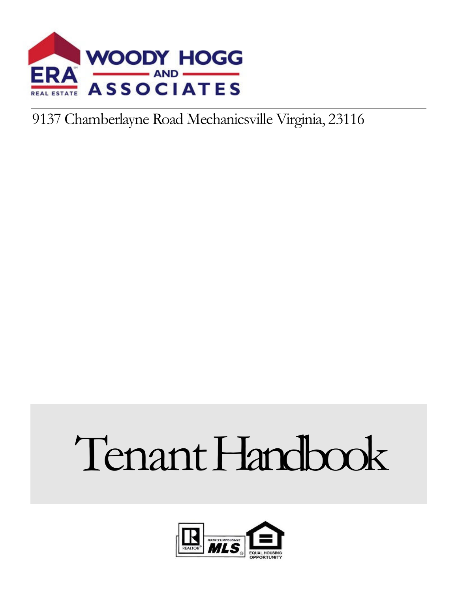

## 9137 Chamberlayne Road Mechanicsville Virginia, 23116

# Tenant Handbook

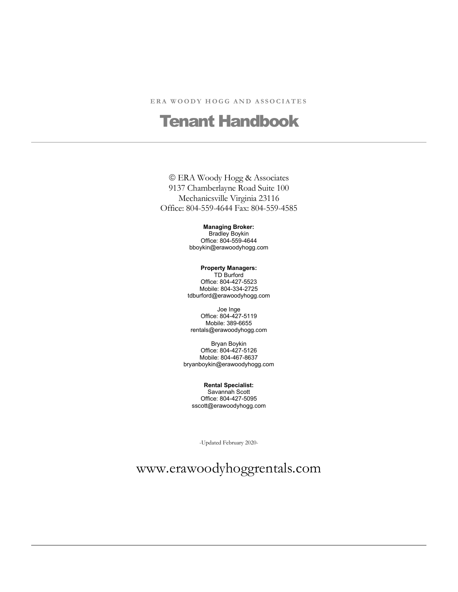#### ERA WOODY HOGG AND ASSOCIATES

## Tenant Handbook

#### ERA Woody Hogg & Associates 9137 Chamberlayne Road Suite 100 Mechanicsville Virginia 23116 Office: 804-559-4644 Fax: 804-559-4585

#### **Managing Broker:**

Bradley Boykin Office: 804-559-4644 bboykin@erawoodyhogg.com

#### **Property Managers:**

TD Burford Office: 804-427-5523 Mobile: 804-334-2725 tdburford@erawoodyhogg.com

Joe Inge Office: 804-427-5119 Mobile: 389-6655 rentals@erawoodyhogg.com

Bryan Boykin Office: 804-427-5126 Mobile: 804-467-8637 bryanboykin@erawoodyhogg.com

**Rental Specialist:**  Savannah Scott Office: 804-427-5095 sscott@erawoodyhogg.com

-Updated February 2020-

www.erawoodyhoggrentals.com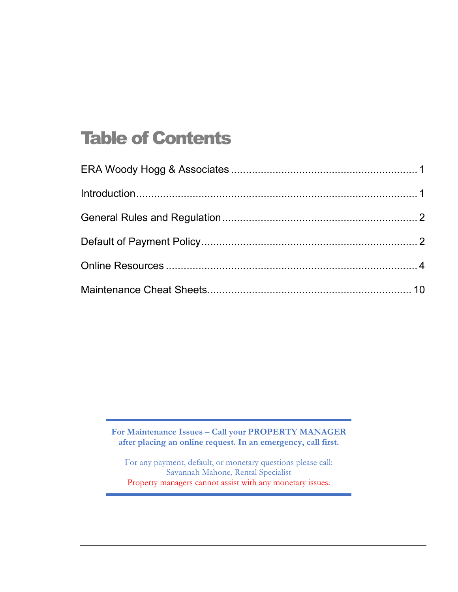# Table of Contents

**For Maintenance Issues – Call your PROPERTY MANAGER after placing an online request. In an emergency, call first.** 

For any payment, default, or monetary questions please call: Savannah Mahone, Rental Specialist Property managers cannot assist with any monetary issues.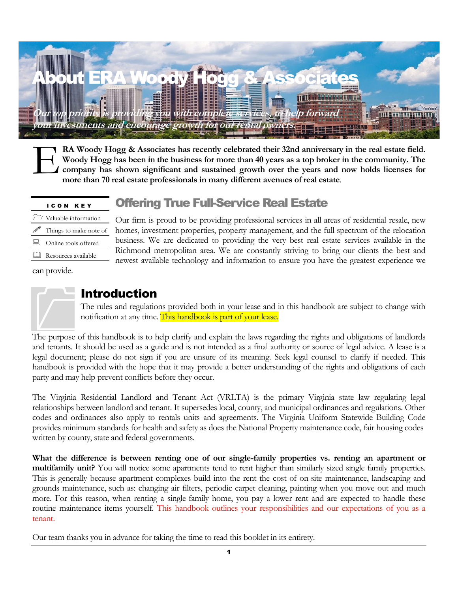

**RA Woody Hogg & Associates has recently celebrated their 32nd anniversary in the real estate field. Woody Hogg has been in the business for more than 40 years as a top broker in the community. The company has shown significant and sustained growth over the years and now holds licenses for more than 70 real estate professionals in many different avenues of real estate**. E

#### Offering True Full-Service Real Estate

|   | $\Box$ Valuable information |
|---|-----------------------------|
|   | Things to make note of      |
|   | Online tools offered        |
| ╙ | Resources available         |

I C O N K E Y

Our firm is proud to be providing professional services in all areas of residential resale, new homes, investment properties, property management, and the full spectrum of the relocation business. We are dedicated to providing the very best real estate services available in the Richmond metropolitan area. We are constantly striving to bring our clients the best and newest available technology and information to ensure you have the greatest experience we

can provide.



#### Introduction

The rules and regulations provided both in your lease and in this handbook are subject to change with notification at any time. This handbook is part of your lease.

The purpose of this handbook is to help clarify and explain the laws regarding the rights and obligations of landlords and tenants. It should be used as a guide and is not intended as a final authority or source of legal advice. A lease is a legal document; please do not sign if you are unsure of its meaning. Seek legal counsel to clarify if needed. This handbook is provided with the hope that it may provide a better understanding of the rights and obligations of each party and may help prevent conflicts before they occur.

The Virginia Residential Landlord and Tenant Act (VRLTA) is the primary Virginia state law regulating legal relationships between landlord and tenant. It supersedes local, county, and municipal ordinances and regulations. Other codes and ordinances also apply to rentals units and agreements. The Virginia Uniform Statewide Building Code provides minimum standards for health and safety as does the National Property maintenance code, fair housing codes written by county, state and federal governments.

**What the difference is between renting one of our single-family properties vs. renting an apartment or multifamily unit?** You will notice some apartments tend to rent higher than similarly sized single family properties. This is generally because apartment complexes build into the rent the cost of on-site maintenance, landscaping and grounds maintenance, such as: changing air filters, periodic carpet cleaning, painting when you move out and much more. For this reason, when renting a single-family home, you pay a lower rent and are expected to handle these routine maintenance items yourself. This handbook outlines your responsibilities and our expectations of you as a tenant.

Our team thanks you in advance for taking the time to read this booklet in its entirety.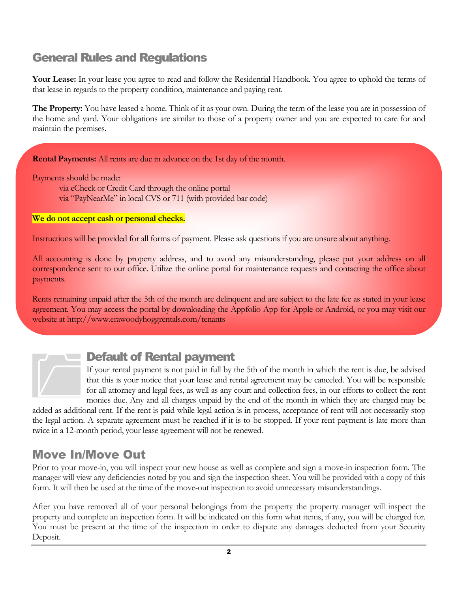## General Rules and Regulations

**Your Lease:** In your lease you agree to read and follow the Residential Handbook. You agree to uphold the terms of that lease in regards to the property condition, maintenance and paying rent.

**The Property:** You have leased a home. Think of it as your own. During the term of the lease you are in possession of the home and yard. Your obligations are similar to those of a property owner and you are expected to care for and maintain the premises.

**Rental Payments:** All rents are due in advance on the 1st day of the month.

Payments should be made:

via eCheck or Credit Card through the online portal via "PayNearMe" in local CVS or 711 (with provided bar code)

**We do not accept cash or personal checks.** 

Instructions will be provided for all forms of payment. Please ask questions if you are unsure about anything.

All accounting is done by property address, and to avoid any misunderstanding, please put your address on all correspondence sent to our office. Utilize the online portal for maintenance requests and contacting the office about payments.

Rents remaining unpaid after the 5th of the month are delinquent and are subject to the late fee as stated in your lease agreement. You may access the portal by downloading the Appfolio App for Apple or Android, or you may visit our website at http://www.erawoodyhoggrentals.com/tenants

#### Default of Rental payment

If your rental payment is not paid in full by the 5th of the month in which the rent is due, be advised that this is your notice that your lease and rental agreement may be canceled. You will be responsible for all attorney and legal fees, as well as any court and collection fees, in our efforts to collect the rent monies due. Any and all charges unpaid by the end of the month in which they are charged may be Defa<br>
If your if<br>
that this<br>
for all at

added as additional rent. If the rent is paid while legal action is in process, acceptance of rent will not necessarily stop the legal action. A separate agreement must be reached if it is to be stopped. If your rent payment is late more than twice in a 12-month period, your lease agreement will not be renewed.

#### Move In/Move Out

Prior to your move-in, you will inspect your new house as well as complete and sign a move-in inspection form. The manager will view any deficiencies noted by you and sign the inspection sheet. You will be provided with a copy of this form. It will then be used at the time of the move-out inspection to avoid unnecessary misunderstandings.

After you have removed all of your personal belongings from the property the property manager will inspect the property and complete an inspection form. It will be indicated on this form what items, if any, you will be charged for. You must be present at the time of the inspection in order to dispute any damages deducted from your Security Deposit.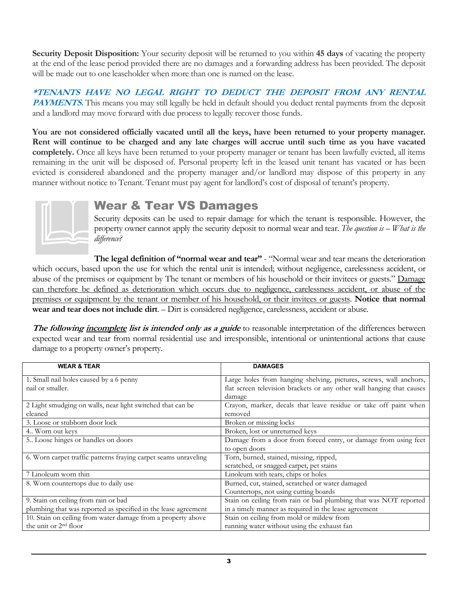**Security Deposit Disposition:** Your security deposit will be returned to you within **45 days** of vacating the property at the end of the lease period provided there are no damages and a forwarding address has been provided. The deposit will be made out to one leaseholder when more than one is named on the lease.

**\*TENANTS HAVE NO LEGAL RIGHT TO DEDUCT THE DEPOSIT FROM ANY RENTAL PAYMENTS.** This means you may still legally be held in default should you deduct rental payments from the deposit and a landlord may move forward with due process to legally recover those funds.

**You are not considered officially vacated until all the keys, have been returned to your property manager. Rent will continue to be charged and any late charges will accrue until such time as you have vacated completely.** Once all keys have been returned to your property manager or tenant has been lawfully evicted, all items remaining in the unit will be disposed of. Personal property left in the leased unit tenant has vacated or has been evicted is considered abandoned and the property manager and/or landlord may dispose of this property in any manner without notice to Tenant. Tenant must pay agent for landlord's cost of disposal of tenant's property.



#### Wear & Tear VS Damages

Security deposits can be used to repair damage for which the tenant is responsible. However, the property owner cannot apply the security deposit to normal wear and tear. *The question is – What is the difference?* 

**The legal definition of "normal wear and tear"** - "Normal wear and tear means the deterioration which occurs, based upon the use for which the rental unit is intended; without negligence, carelessness accident, or abuse of the premises or equipment by The tenant or members of his household or their invitees or guests." Damage can therefore be defined as deterioration which occurs due to negligence, carelessness accident, or abuse of the premises or equipment by the tenant or member of his household, or their invitees or guests. **Notice that normal wear and tear does not include dirt**. – Dirt is considered negligence, carelessness, accident or abuse.

**The following incomplete list is intended only as a guide** to reasonable interpretation of the differences between expected wear and tear from normal residential use and irresponsible, intentional or unintentional actions that cause damage to a property owner's property.

| <b>WEAR &amp; TEAR</b>                                                                                     | <b>DAMAGES</b>                                                        |
|------------------------------------------------------------------------------------------------------------|-----------------------------------------------------------------------|
| 1. Small nail holes caused by a 6 penny                                                                    | Large holes from hanging shelving, pictures, screws, wall anchors,    |
| nail or smaller.                                                                                           | flat screen television brackets or any other wall hanging that causes |
|                                                                                                            | damage                                                                |
| 2 Light smudging on walls, near light switched that can be                                                 | Crayon, marker, decals that leave residue or take off paint when      |
| cleaned                                                                                                    | removed                                                               |
| 3. Loose or stubborn door lock                                                                             | Broken or missing locks                                               |
| 4. Worn out keys                                                                                           | Broken, lost or unreturned keys                                       |
| 5. Loose hinges or handles on doors                                                                        | Damage from a door from forced entry, or damage from using feet       |
|                                                                                                            | to open doors                                                         |
| Torn, burned, stained, missing, ripped,<br>6. Worn carpet traffic patterns fraying carpet seams unraveling |                                                                       |
|                                                                                                            | scratched, or snagged carpet, pet stains                              |
| 7 Linoleum worn thin                                                                                       | Linoleum with tears, chips or holes                                   |
| 8. Worn countertops due to daily use                                                                       | Burned, cut, stained, scratched or water damaged                      |
|                                                                                                            | Countertops, not using cutting boards                                 |
| 9. Stain on ceiling from rain or bad                                                                       | Stain on ceiling from rain or bad plumbing that was NOT reported      |
| plumbing that was reported as specified in the lease agreement                                             | in a timely manner as required in the lease agreement                 |
| 10. Stain on ceiling from water damage from a property above                                               | Stain on ceiling from mold or mildew from                             |
| the unit or 2 <sup>nd</sup> floor                                                                          | running water without using the exhaust fan                           |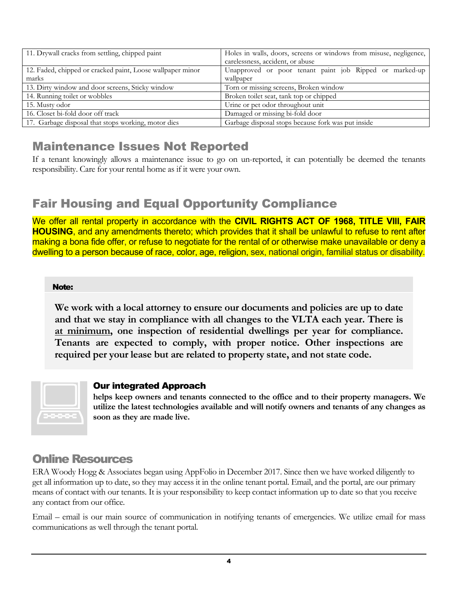| 11. Drywall cracks from settling, chipped paint            | Holes in walls, doors, screens or windows from misuse, negligence,<br>carelessness, accident, or abuse |  |  |
|------------------------------------------------------------|--------------------------------------------------------------------------------------------------------|--|--|
|                                                            |                                                                                                        |  |  |
| 12. Faded, chipped or cracked paint, Loose wallpaper minor | Unapproved or poor tenant paint job Ripped or marked-up                                                |  |  |
| marks                                                      | wallpaper                                                                                              |  |  |
| 13. Dirty window and door screens, Sticky window           | Torn or missing screens, Broken window                                                                 |  |  |
| 14. Running toilet or wobbles                              | Broken toilet seat, tank top or chipped                                                                |  |  |
| 15. Musty odor                                             | Urine or pet odor throughout unit                                                                      |  |  |
| 16. Closet bi-fold door off track                          | Damaged or missing bi-fold door                                                                        |  |  |
| 17. Garbage disposal that stops working, motor dies        | Garbage disposal stops because fork was put inside                                                     |  |  |

#### Maintenance Issues Not Reported

If a tenant knowingly allows a maintenance issue to go on un-reported, it can potentially be deemed the tenants responsibility. Care for your rental home as if it were your own.

### Fair Housing and Equal Opportunity Compliance

We offer all rental property in accordance with the **CIVIL RIGHTS ACT OF 1968, TITLE VIll, FAIR HOUSING**, and any amendments thereto; which provides that it shall be unlawful to refuse to rent after making a bona fide offer, or refuse to negotiate for the rental of or otherwise make unavailable or deny a dwelling to a person because of race, color, age, religion, sex, national origin, familial status or disability.

#### Note:

**We work with a local attorney to ensure our documents and policies are up to date and that we stay in compliance with all changes to the VLTA each year. There is at minimum, one inspection of residential dwellings per year for compliance. Tenants are expected to comply, with proper notice. Other inspections are required per your lease but are related to property state, and not state code.** 



#### Our integrated Approach

**helps keep owners and tenants connected to the office and to their property managers. We utilize the latest technologies available and will notify owners and tenants of any changes as soon as they are made live.** 

#### Online Resources

ERA Woody Hogg & Associates began using AppFolio in December 2017. Since then we have worked diligently to get all information up to date, so they may access it in the online tenant portal. Email, and the portal, are our primary means of contact with our tenants. It is your responsibility to keep contact information up to date so that you receive any contact from our office.

Email – email is our main source of communication in notifying tenants of emergencies. We utilize email for mass communications as well through the tenant portal.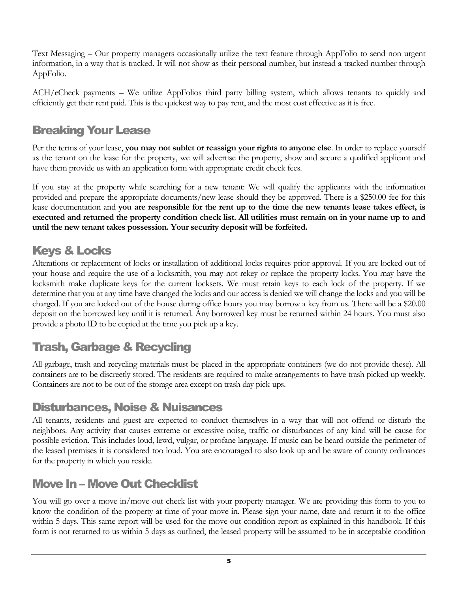Text Messaging – Our property managers occasionally utilize the text feature through AppFolio to send non urgent information, in a way that is tracked. It will not show as their personal number, but instead a tracked number through AppFolio.

ACH/eCheck payments – We utilize AppFolios third party billing system, which allows tenants to quickly and efficiently get their rent paid. This is the quickest way to pay rent, and the most cost effective as it is free.

#### Breaking Your Lease

Per the terms of your lease, **you may not sublet or reassign your rights to anyone else**. In order to replace yourself as the tenant on the lease for the property, we will advertise the property, show and secure a qualified applicant and have them provide us with an application form with appropriate credit check fees.

If you stay at the property while searching for a new tenant: We will qualify the applicants with the information provided and prepare the appropriate documents/new lease should they be approved. There is a \$250.00 fee for this lease documentation and **you are responsible for the rent up to the time the new tenants lease takes effect, is executed and returned the property condition check list. All utilities must remain on in your name up to and until the new tenant takes possession. Your security deposit will be forfeited.** 

#### Keys & Locks

Alterations or replacement of locks or installation of additional locks requires prior approval. If you are locked out of your house and require the use of a locksmith, you may not rekey or replace the property locks. You may have the locksmith make duplicate keys for the current locksets. We must retain keys to each lock of the property. If we determine that you at any time have changed the locks and our access is denied we will change the locks and you will be charged. If you are locked out of the house during office hours you may borrow a key from us. There will be a \$20.00 deposit on the borrowed key until it is returned. Any borrowed key must be returned within 24 hours. You must also provide a photo ID to be copied at the time you pick up a key.

## Trash, Garbage & Recycling

All garbage, trash and recycling materials must be placed in the appropriate containers (we do not provide these). All containers are to be discreetly stored. The residents are required to make arrangements to have trash picked up weekly. Containers are not to be out of the storage area except on trash day pick-ups.

#### Disturbances, Noise & Nuisances

All tenants, residents and guest are expected to conduct themselves in a way that will not offend or disturb the neighbors. Any activity that causes extreme or excessive noise, traffic or disturbances of any kind will be cause for possible eviction. This includes loud, lewd, vulgar, or profane language. If music can be heard outside the perimeter of the leased premises it is considered too loud. You are encouraged to also look up and be aware of county ordinances for the property in which you reside.

#### Move In – Move Out Checklist

You will go over a move in/move out check list with your property manager. We are providing this form to you to know the condition of the property at time of your move in. Please sign your name, date and return it to the office within 5 days. This same report will be used for the move out condition report as explained in this handbook. If this form is not returned to us within 5 days as outlined, the leased property will be assumed to be in acceptable condition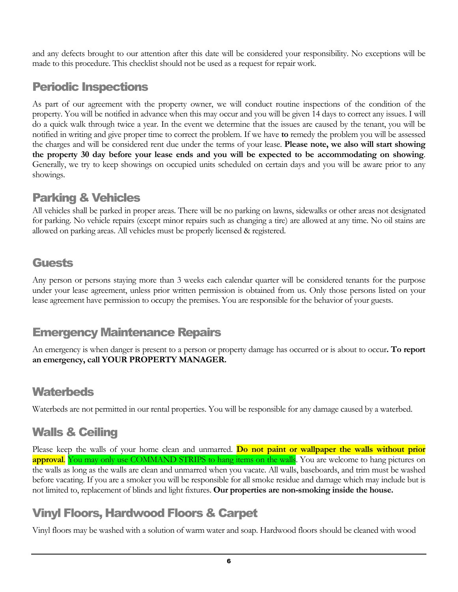and any defects brought to our attention after this date will be considered your responsibility. No exceptions will be made to this procedure. This checklist should not be used as a request for repair work.

### Periodic Inspections

As part of our agreement with the property owner, we will conduct routine inspections of the condition of the property. You will be notified in advance when this may occur and you will be given 14 days to correct any issues. I will do a quick walk through twice a year. In the event we determine that the issues are caused by the tenant, you will be notified in writing and give proper time to correct the problem. If we have **to** remedy the problem you will be assessed the charges and will be considered rent due under the terms of your lease. **Please note, we also will start showing the property 30 day before your lease ends and you will be expected to be accommodating on showing**. Generally, we try to keep showings on occupied units scheduled on certain days and you will be aware prior to any showings.

#### Parking & Vehicles

All vehicles shall be parked in proper areas. There will be no parking on lawns, sidewalks or other areas not designated for parking. No vehicle repairs (except minor repairs such as changing a tire) are allowed at any time. No oil stains are allowed on parking areas. All vehicles must be properly licensed & registered.

#### **Guests**

Any person or persons staying more than 3 weeks each calendar quarter will be considered tenants for the purpose under your lease agreement, unless prior written permission is obtained from us. Only those persons listed on your lease agreement have permission to occupy the premises. You are responsible for the behavior of your guests.

#### Emergency Maintenance Repairs

An emergency is when danger is present to a person or property damage has occurred or is about to occur**. To report an emergency, call YOUR PROPERTY MANAGER.** 

#### **Waterbeds**

Waterbeds are not permitted in our rental properties. You will be responsible for any damage caused by a waterbed.

## Walls & Ceiling

Please keep the walls of your home clean and unmarred. **Do not paint or wallpaper the walls without prior approval.** You may only use COMMAND STRIPS to hang items on the walls. You are welcome to hang pictures on the walls as long as the walls are clean and unmarred when you vacate. All walls, baseboards, and trim must be washed before vacating. If you are a smoker you will be responsible for all smoke residue and damage which may include but is not limited to, replacement of blinds and light fixtures. **Our properties are non-smoking inside the house.** 

## Vinyl Floors, Hardwood Floors & Carpet

Vinyl floors may be washed with a solution of warm water and soap. Hardwood floors should be cleaned with wood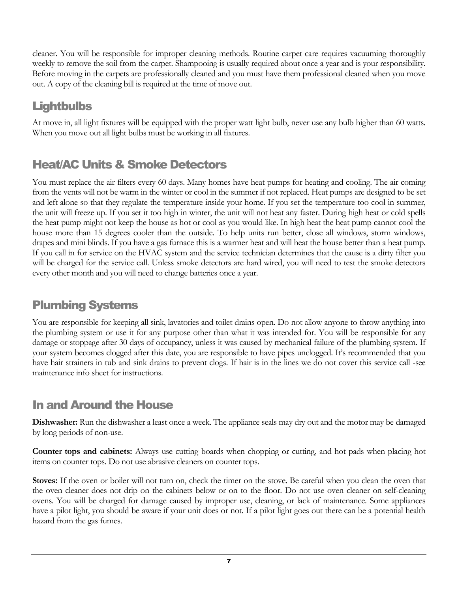cleaner. You will be responsible for improper cleaning methods. Routine carpet care requires vacuuming thoroughly weekly to remove the soil from the carpet. Shampooing is usually required about once a year and is your responsibility. Before moving in the carpets are professionally cleaned and you must have them professional cleaned when you move out. A copy of the cleaning bill is required at the time of move out.

## **Lightbulbs**

At move in, all light fixtures will be equipped with the proper watt light bulb, never use any bulb higher than 60 watts. When you move out all light bulbs must be working in all fixtures.

## Heat/AC Units & Smoke Detectors

You must replace the air filters every 60 days. Many homes have heat pumps for heating and cooling. The air coming from the vents will not be warm in the winter or cool in the summer if not replaced. Heat pumps are designed to be set and left alone so that they regulate the temperature inside your home. If you set the temperature too cool in summer, the unit will freeze up. If you set it too high in winter, the unit will not heat any faster. During high heat or cold spells the heat pump might not keep the house as hot or cool as you would like. In high heat the heat pump cannot cool the house more than 15 degrees cooler than the outside. To help units run better, close all windows, storm windows, drapes and mini blinds. If you have a gas furnace this is a warmer heat and will heat the house better than a heat pump. If you call in for service on the HVAC system and the service technician determines that the cause is a dirty filter you will be charged for the service call. Unless smoke detectors are hard wired, you will need to test the smoke detectors every other month and you will need to change batteries once a year.

## Plumbing Systems

You are responsible for keeping all sink, lavatories and toilet drains open. Do not allow anyone to throw anything into the plumbing system or use it for any purpose other than what it was intended for. You will be responsible for any damage or stoppage after 30 days of occupancy, unless it was caused by mechanical failure of the plumbing system. If your system becomes clogged after this date, you are responsible to have pipes unclogged. It's recommended that you have hair strainers in tub and sink drains to prevent clogs. If hair is in the lines we do not cover this service call -see maintenance info sheet for instructions.

## In and Around the House

**Dishwasher:** Run the dishwasher a least once a week. The appliance seals may dry out and the motor may be damaged by long periods of non-use.

**Counter tops and cabinets:** Always use cutting boards when chopping or cutting, and hot pads when placing hot items on counter tops. Do not use abrasive cleaners on counter tops.

**Stoves:** If the oven or boiler will not turn on, check the timer on the stove. Be careful when you clean the oven that the oven cleaner does not drip on the cabinets below or on to the floor. Do not use oven cleaner on self-cleaning ovens. You will be charged for damage caused by improper use, cleaning, or lack of maintenance. Some appliances have a pilot light, you should be aware if your unit does or not. If a pilot light goes out there can be a potential health hazard from the gas fumes.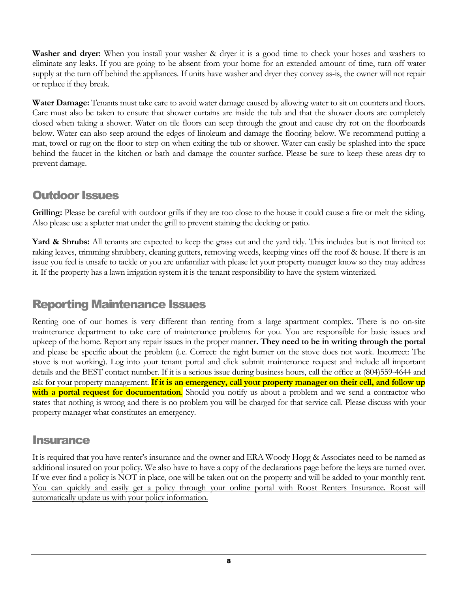**Washer and dryer:** When you install your washer & dryer it is a good time to check your hoses and washers to eliminate any leaks. If you are going to be absent from your home for an extended amount of time, turn off water supply at the turn off behind the appliances. If units have washer and dryer they convey as-is, the owner will not repair or replace if they break.

**Water Damage:** Tenants must take care to avoid water damage caused by allowing water to sit on counters and floors. Care must also be taken to ensure that shower curtains are inside the tub and that the shower doors are completely closed when taking a shower. Water on tile floors can seep through the grout and cause dry rot on the floorboards below. Water can also seep around the edges of linoleum and damage the flooring below. We recommend putting a mat, towel or rug on the floor to step on when exiting the tub or shower. Water can easily be splashed into the space behind the faucet in the kitchen or bath and damage the counter surface. Please be sure to keep these areas dry to prevent damage.

#### Outdoor Issues

**Grilling:** Please be careful with outdoor grills if they are too close to the house it could cause a fire or melt the siding. Also please use a splatter mat under the grill to prevent staining the decking or patio.

**Yard & Shrubs:** All tenants are expected to keep the grass cut and the yard tidy. This includes but is not limited to: raking leaves, trimming shrubbery, cleaning gutters, removing weeds, keeping vines off the roof & house. If there is an issue you feel is unsafe to tackle or you are unfamiliar with please let your property manager know so they may address it. If the property has a lawn irrigation system it is the tenant responsibility to have the system winterized.

## Reporting Maintenance Issues

Renting one of our homes is very different than renting from a large apartment complex. There is no on-site maintenance department to take care of maintenance problems for you. You are responsible for basic issues and upkeep of the home. Report any repair issues in the proper manner**. They need to be in writing through the portal** and please be specific about the problem (i.e. Correct: the right burner on the stove does not work. Incorrect: The stove is not working). Log into your tenant portal and click submit maintenance request and include all important details and the BEST contact number. If it is a serious issue during business hours, call the office at (804)559-4644 and ask for your property management. **If it is an emergency, call your property manager on their cell, and follow up with a portal request for documentation**. Should you notify us about a problem and we send a contractor who states that nothing is wrong and there is no problem you will be charged for that service call. Please discuss with your property manager what constitutes an emergency.

#### **Insurance**

It is required that you have renter's insurance and the owner and ERA Woody Hogg & Associates need to be named as additional insured on your policy. We also have to have a copy of the declarations page before the keys are turned over. If we ever find a policy is NOT in place, one will be taken out on the property and will be added to your monthly rent. You can quickly and easily get a policy through your online portal with Roost Renters Insurance. Roost will automatically update us with your policy information.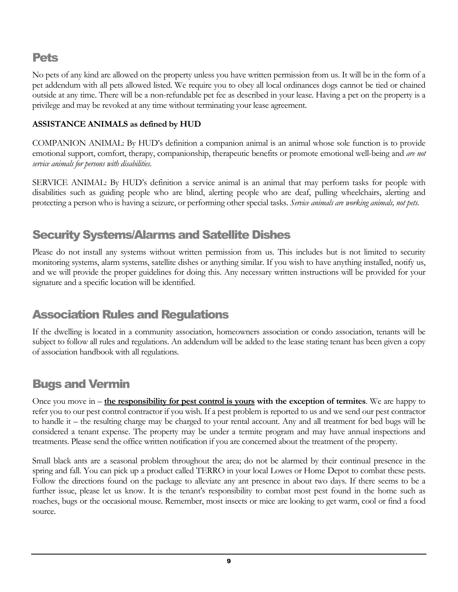#### Pets

No pets of any kind are allowed on the property unless you have written permission from us. It will be in the form of a pet addendum with all pets allowed listed. We require you to obey all local ordinances dogs cannot be tied or chained outside at any time. There will be a non-refundable pet fee as described in your lease. Having a pet on the property is a privilege and may be revoked at any time without terminating your lease agreement.

#### **ASSISTANCE ANIMALS as defined by HUD**

COMPANION ANIMAL: By HUD's definition a companion animal is an animal whose sole function is to provide emotional support, comfort, therapy, companionship, therapeutic benefits or promote emotional well-being and *are not service animals for persons with disabilities*.

SERVICE ANIMAL: By HUD's definition a service animal is an animal that may perform tasks for people with disabilities such as guiding people who are blind, alerting people who are deaf, pulling wheelchairs, alerting and protecting a person who is having a seizure, or performing other special tasks. *Service animals are working animals, not pets.*

## Security Systems/Alarms and Satellite Dishes

Please do not install any systems without written permission from us. This includes but is not limited to security monitoring systems, alarm systems, satellite dishes or anything similar. If you wish to have anything installed, notify us, and we will provide the proper guidelines for doing this. Any necessary written instructions will be provided for your signature and a specific location will be identified.

## Association Rules and Regulations

If the dwelling is located in a community association, homeowners association or condo association, tenants will be subject to follow all rules and regulations. An addendum will be added to the lease stating tenant has been given a copy of association handbook with all regulations.

#### Bugs and Vermin

Once you move in – **the responsibility for pest control is yours with the exception of termites**. We are happy to refer you to our pest control contractor if you wish. If a pest problem is reported to us and we send our pest contractor to handle it – the resulting charge may be charged to your rental account. Any and all treatment for bed bugs will be considered a tenant expense. The property may be under a termite program and may have annual inspections and treatments. Please send the office written notification if you are concerned about the treatment of the property.

Small black ants are a seasonal problem throughout the area; do not be alarmed by their continual presence in the spring and fall. You can pick up a product called TERRO in your local Lowes or Home Depot to combat these pests. Follow the directions found on the package to alleviate any ant presence in about two days. If there seems to be a further issue, please let us know. It is the tenant's responsibility to combat most pest found in the home such as roaches, bugs or the occasional mouse. Remember, most insects or mice are looking to get warm, cool or find a food source.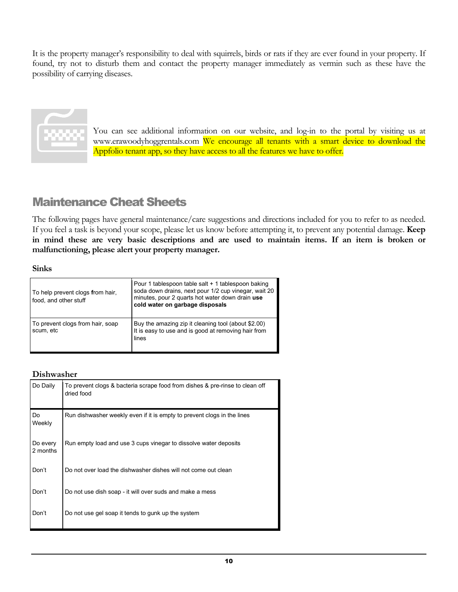It is the property manager's responsibility to deal with squirrels, birds or rats if they are ever found in your property. If found, try not to disturb them and contact the property manager immediately as vermin such as these have the possibility of carrying diseases.



You can see additional information on our website, and log-in to the portal by visiting us at www.erawoodyhoggrentals.com We encourage all tenants with a smart device to download the Appfolio tenant app, so they have access to all the features we have to offer.

### Maintenance Cheat Sheets

The following pages have general maintenance/care suggestions and directions included for you to refer to as needed. If you feel a task is beyond your scope, please let us know before attempting it, to prevent any potential damage. **Keep in mind these are very basic descriptions and are used to maintain items. If an item is broken or malfunctioning, please alert your property manager.**

#### **Sinks**

| To help prevent clogs from hair,<br>food, and other stuff | Pour 1 tablespoon table salt + 1 tablespoon baking<br>soda down drains, next pour 1/2 cup vinegar, wait 20<br>minutes, pour 2 quarts hot water down drain use<br>cold water on garbage disposals |
|-----------------------------------------------------------|--------------------------------------------------------------------------------------------------------------------------------------------------------------------------------------------------|
| To prevent clogs from hair, soap<br>scum, etc             | Buy the amazing zip it cleaning tool (about \$2.00)<br>It is easy to use and is good at removing hair from<br>lines                                                                              |

#### **Dishwasher**

| Do Daily             | To prevent clogs & bacteria scrape food from dishes & pre-rinse to clean off<br>dried food |
|----------------------|--------------------------------------------------------------------------------------------|
| Do<br>Weekly         | Run dishwasher weekly even if it is empty to prevent clogs in the lines                    |
| Do every<br>2 months | Run empty load and use 3 cups vinegar to dissolve water deposits                           |
| Don't                | Do not over load the dishwasher dishes will not come out clean                             |
| Don't                | Do not use dish soap - it will over suds and make a mess                                   |
| Don't                | Do not use gel soap it tends to gunk up the system                                         |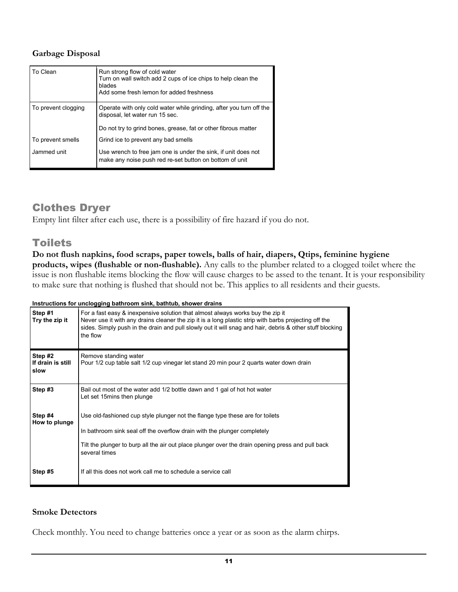#### **Garbage Disposal**

| To Clean            | Run strong flow of cold water<br>Turn on wall switch add 2 cups of ice chips to help clean the<br>blades<br>Add some fresh lemon for added freshness                     |
|---------------------|--------------------------------------------------------------------------------------------------------------------------------------------------------------------------|
| To prevent clogging | Operate with only cold water while grinding, after you turn off the<br>disposal, let water run 15 sec.<br>Do not try to grind bones, grease, fat or other fibrous matter |
| To prevent smells   | Grind ice to prevent any bad smells                                                                                                                                      |
| Jammed unit         | Use wrench to free jam one is under the sink, if unit does not<br>make any noise push red re-set button on bottom of unit                                                |

#### Clothes Dryer

Empty lint filter after each use, there is a possibility of fire hazard if you do not.

#### **Toilets**

**Do not flush napkins, food scraps, paper towels, balls of hair, diapers, Qtips, feminine hygiene products, wipes (flushable or non-flushable).** Any calls to the plumber related to a clogged toilet where the issue is non flushable items blocking the flow will cause charges to be assed to the tenant. It is your responsibility to make sure that nothing is flushed that should not be. This applies to all residents and their guests.

| Instructions for unclogging bathroom sink, bathtub, shower drains |  |
|-------------------------------------------------------------------|--|
|                                                                   |  |

| Step #1<br>Try the zip it            | For a fast easy & inexpensive solution that almost always works buy the zip it<br>Never use it with any drains cleaner the zip it is a long plastic strip with barbs projecting off the<br>sides. Simply push in the drain and pull slowly out it will snag and hair, debris & other stuff blocking<br>the flow |
|--------------------------------------|-----------------------------------------------------------------------------------------------------------------------------------------------------------------------------------------------------------------------------------------------------------------------------------------------------------------|
| Step #2<br>If drain is still<br>slow | Remove standing water<br>Pour 1/2 cup table salt 1/2 cup vinegar let stand 20 min pour 2 quarts water down drain                                                                                                                                                                                                |
| Step #3                              | Bail out most of the water add 1/2 bottle dawn and 1 gal of hot hot water<br>Let set 15 mins then plunge                                                                                                                                                                                                        |
| Step #4<br>How to plunge             | Use old-fashioned cup style plunger not the flange type these are for toilets<br>In bathroom sink seal off the overflow drain with the plunger completely<br>Tilt the plunger to burp all the air out place plunger over the drain opening press and pull back<br>several times                                 |
| Step #5                              | If all this does not work call me to schedule a service call                                                                                                                                                                                                                                                    |

#### **Smoke Detectors**

Check monthly. You need to change batteries once a year or as soon as the alarm chirps.